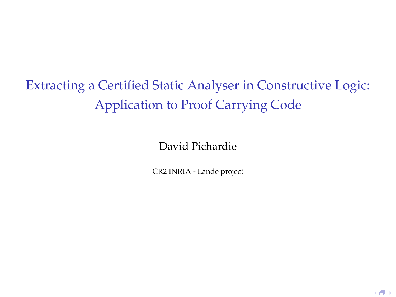Extracting a Certified Static Analyser in Constructive Logic: Application to Proof Carrying Code

David Pichardie

<span id="page-0-0"></span>CR2 INRIA - Lande project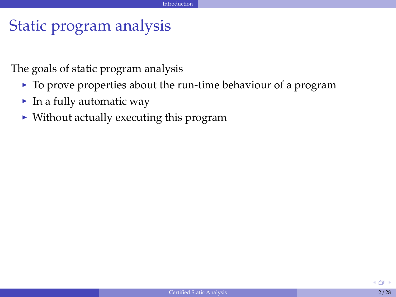#### Static program analysis

The goals of static program analysis

- $\triangleright$  To prove properties about the run-time behaviour of a program
- $\blacktriangleright$  In a fully automatic way
- <span id="page-1-0"></span> $\triangleright$  Without actually executing this program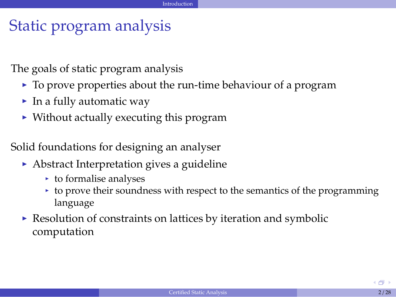#### Static program analysis

The goals of static program analysis

- $\triangleright$  To prove properties about the run-time behaviour of a program
- $\blacktriangleright$  In a fully automatic way
- $\triangleright$  Without actually executing this program

Solid foundations for designing an analyser

- $\triangleright$  Abstract Interpretation gives a guideline
	- $\rightarrow$  to formalise analyses
	- $\rightarrow$  to prove their soundness with respect to the semantics of the programming language
- $\triangleright$  Resolution of constraints on lattices by iteration and symbolic computation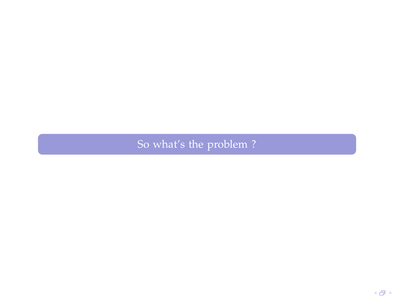So what's the problem ?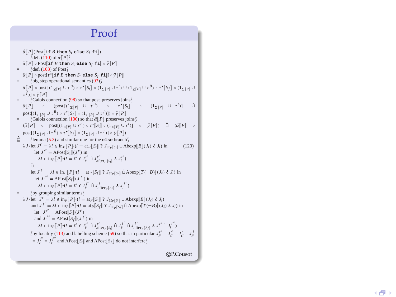#### Proof 5.4 Sincethecaseofthe **else** branch of the conditional is similar to (5.3), we can now come back to the calculational design of APostJ**if** *<sup>B</sup>* **then** *St* **else** *Sf* **fi**<sup>K</sup> as an upper

 $\tilde{\alpha}$ [*P*](Post[if *B* then  $S_t$  else  $S_f$  fi])<br> $\tilde{\beta}$ def (110) of  $\tilde{\alpha}$ [*B*]; =  $\ddot{\alpha} [P] \circ \text{Post}[\textbf{if } B \textbf{ then } S_t \textbf{ else } S_f \textbf{ fil } \circ \ddot{\gamma} [P]$ <br>=  $\ddot{\gamma} \text{def } (\textbf{103}) \textbf{ of } \text{Post}^{\gamma}$ =  $\alpha \left[ P \right] \circ \text{post} \left[ \tau^* \left[ \text{if } B \text{ then } S_t \text{ else } S_f \text{ fil} \right] \right] \circ \tilde{\gamma} \left[ P \right]$ <br>=  $\alpha$  bis ofter considered computing (02) = (big step operational semantics (93)*S*<br>  $\tilde{\alpha}[P] \circ \text{post}([1_{\Sigma}[P] \cup \tau^B) \circ \tau^*[\overline{S_I}] \circ (1_{\Sigma}[P] \cup \tau^C) \cup (1_{\Sigma}[P] \cup \tau^B) \circ \tau^*[\overline{S_I}] \circ (1_{\Sigma}[P] \cup \overline{S_I}]$  $\tau^{f}$ )]  $\circ \ddot{\gamma}$ [*P*] *[*Galois connection (98) so that post preserves joins  $\hat{\ }$ = (Galois connection (98) so that post preserves joins *j*<br>  $\ddot{a}$  *[P*] ⇒ (post[(1<sub>Σ</sub>[*P*] ∪ τ<sup>*B*</sup>) ⇒ τ<sup>\*</sup>[*S<sub>i</sub>*] ⇒ (1<sub>Σ[</sub>*P*] ∪ τ<sup>*'*</sup>)] ∪  $\text{post}[(1_{\Sigma}[P] \cup \tau^{\tilde{B}}) \circ \tau^*[\mathcal{S}_f] \circ (1_{\Sigma}[P] \cup \tau^f)]) \circ \tilde{\gamma}[P]$ *[*Galois connection (106) so that  $\alpha$ <sup>*[P]*</sup> preserves joins  $\hat{}$  $(\tilde{\alpha}[[P]] \circ \text{post}[(1_{\Sigma[P]} \cup \tau^B) \circ \tau^*[[S_r]] \circ (1_{\Sigma[P]} \cup \tau^I)] \circ \tilde{\gamma}[P]) \quad \hat{\sqcup} \quad (\tilde{\alpha}[[P]] \circ$  $\text{post}[(1_{\Sigma}[\mathbf{P}] \cup \tau^{\tilde{B}}) \circ \tau^*[\mathbf{S}_f] \circ (1_{\Sigma}[\mathbf{P}] \cup \tau^f)] \circ \tilde{\mathbf{V}}[\mathbf{P}])$ ˙  $\lambda$  Hemma (5.3) and similar one for the **else** branch  $\lambda J \cdot \text{let } J' = \lambda l \in \text{in}_{P} [P] \cdot (l = \text{at}_{P} [S_{t}] ? J_{\text{at}_{P} [S_{t}]} \cup \text{Abexp}[B] (J_{\ell}) \cdot J_{\ell}$ ) in let  $J^{t''} = \text{APost}[\![S_t]\!](J^{t'})$  in  $\lambda l \in \text{in}_{P}[[P]\cdot(l = \ell' \text{ ? } J_{\ell'}^{t''} \sqcup J_{\text{after } P}^{t''} [S_{t}] \& J_{l}^{t''})$ t¨ let  $J^{f'} = \lambda l \in \text{in}_{P}[[P] \cdot (l = \text{at}_{P}[[S_{f}]] \cdot l \cdot J_{\text{at}_{P}[[S_{f}]]} \cup \text{Abexp}[[T(\neg B)](J_{\ell}) \cdot J_{l}) \text{ in}$ let  $J^{f''} = \text{APost}[\![S_f]\!](J^{f'})$  in  $\lambda I \in \text{in}_{P} [P] \cdot (I = \ell' ? J_{\ell'}^{f''} \sqcup J_{\text{after}_{P} [S_{f}]}^{f''} \in J_{I}^{f''})$ (120)  $\lambda$ *J* • let *J*<sup>*t*</sup>  $\leq$  *M* ∈ in*P*<sub>*[P*</sub>]<sup>*P*</sup><sub>1</sub>(*l* = at*p*<sub>[</sub>*S<sub>i</sub>*] *Z*<sub>*J*at*P*[*S*<sub>1</sub>] **□** Abexp[*B*](*J*<sub>*i*</sub>) *iJ*<sub>*i*</sub> *f*<sub>*n*</sub> (*l*) *iJ*<sub>*i*</sub> *f*<sub>*n*</sub> (*l*) *iJ*<sub>*i*</sub> *f*<sub>*n*</sub> (*n*) *iJ*<sub>*i*</sub> (</sub> and  $J^{f'} = \lambda l \in \text{in}_{P} [P] \cdot (l = \text{at}_{P} [S_{f}]$  ?  $J_{\text{at}_{P} [S_{f}]} \cup \text{Aberp} [T(\neg B)] (J_{\ell})$   $\epsilon J_{l}$ ) in let  $J^{t''} = \text{APost}[\![S_t]\!](J^{t'})$ and  $J^{f''} = \text{APost}[S_f](J^{f'})$  in  $\lambda l \in \text{in}_{P}\llbracket P \rrbracket \cdot (l = \ell' ~?~ {J'_{\ell'}}^{\prime'} \; \sqcup~ {J'^{\,\prime}_{\text{after}\, p}\llbracket s_i \rrbracket} \; \sqcup~ {J'_{\ell'}}^{\prime'} \; \sqcup~ {J'^{\,\prime}_{\text{after}\, p}\llbracket s_{f} \rrbracket} \; \text{~} \text{~} {J'_{l}}^{\prime'} \; \sqcup~ {J'_{l}}^{\prime'} \; \qquad \qquad \nonumber$  $=$  (by locality (113) and labelling scheme (59) so that in particular  $J_{\ell'}^{t''} = J_{\ell'}^{t'} = J_{\ell'}^t = J_{\ell'}^t$  $J_{\ell'}^{f'} = J_{\ell'}^{f''}$  and APost $[S_t]$  and APost $[S_f]$  do not interfere en Conservation Conservation Conservation Conservation Conservation Conservation Conservation Conservation Conservation Conservation Conservation Conservation Conservation Conservation Conservation Conservation Conservatio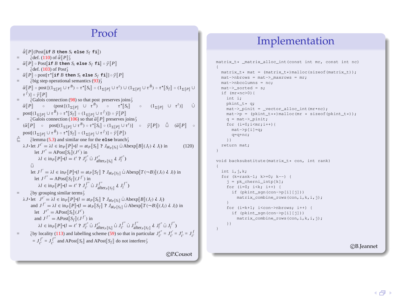#### Proof 5.4 Sincethecaseofthe **else** branch of the conditional is similar to (5.3), we can now come back to the calculational design of APostJ**if** *<sup>B</sup>* **then** *St* **else** *Sf* **fi**<sup>K</sup> as an upper

```
\tilde{\alpha}[P](Post[if B then S_t else S_f fi])<br>\tilde{\beta}def (110) of \tilde{\alpha}[B];
 = \ddot{\alpha} [P] \circ \text{Post}[\textbf{if } B \textbf{ then } S_t \textbf{ else } S_f \textbf{ fil } \circ \ddot{\gamma} [P]<br>= \ddot{\gamma} \text{def } (\textbf{103}) \textbf{ of } \text{Post}^{\gamma}= \alpha \left[ P \right] \circ \text{post} \left[ \tau^* \left[ \text{if } B \text{ then } S_t \text{ else } S_f \text{ fil} \right] \right] \circ \tilde{\gamma} \left[ P \right]<br>= \alpha bis ofter considered computing (02)
 = (big step operational semantics (93)S<br>
\tilde{\alpha}[P] \circ \text{post}([1_{\Sigma}[P] \cup \tau^B) \circ \tau^*[\overline{S_I}] \circ (1_{\Sigma}[P] \cup \tau^C) \cup (1_{\Sigma}[P] \cup \tau^B) \circ \tau^*[\overline{S_I}] \circ (1_{\Sigma}[P] \cup \overline{S_I}][\tau^f]] \circ \ddot{\gamma} [P]<br>L Galois
= \left[\begin{array}{cc} \text{Galois connection (98) so that post preserves joins} \\ \tilde{\sigma} \|P\| & \circ & \text{const} \left[\begin{array}{ccc} 1 & \text{at } p1 & \text{at } p^B \end{array}\right] \end{array}\right]\tilde{\alpha}[P] o (\text{post}[(1_{\Sigma}[P] \cup \tau^B) o \tau^* [S_t] o (1_{\Sigma[P]} \cup \tau^t)] ∪
          \text{post}[(1_{\Sigma}[P] \cup \tau^{\tilde{B}}) \circ \tau^*[\mathcal{S}_f] \circ (1_{\Sigma}[P] \cup \tau^f)]) \circ \tilde{\gamma}[P]= {Galois connection (106) so that \ddot{\alpha}[P] preserves joins<sub></sub>}<br>
(\ddot{\alpha}[P] o post[(1<sub>Σ</sub>[P] ∪ τ<sup>B</sup>) o τ <sup>r</sup>[S<sub>l</sub>] o (1<sub>Σ[P]</sub> ∪ τ<sup>f</sup>)] o γ[P]) \ddot{\alpha}[P] o
          \text{post}[(1_{\Sigma}[\mathbf{P}] \cup \tau^{\tilde{B}}) \circ \tau^*[\mathbf{S}_f] \circ (1_{\Sigma}[\mathbf{P}] \cup \tau^f)] \circ \tilde{\mathbf{V}}[\mathbf{P}])˙
                  \lambda Hemma (5.3) and similar one for the else branch<sup>{</sup>
          \lambda J \cdot \text{let } J' = \lambda l \in \text{in}_{P} [P] \cdot (l = \text{at}_{P} [S_{t}] ? J_{\text{at}_{P} [S_{t}]} \cup \text{Abexp}[B] (J_{\ell}) \cdot J_{\ell}) in
                          let J^{t''} = \text{APost}[\![S_t]\!](J^{t'}) in
                               \lambda l \in \text{in}_{P}[[P]\cdot(l = \ell' \text{ ? } J_{\ell'}^{t''} \sqcup J_{\text{after } P}^{t''} [S_{t}] \& J_{l}^{t''})t¨
                     let J^{f'} = \lambda l \in \text{in}_{P}[[P] \cdot (l = \text{at}_{P}[[S_{f}]] \cdot l \cdot J_{\text{at}_{P}[[S_{f}]]} \cup \text{Abexp}[[T(\neg B)](J_{\ell}) \cdot J_{l}) \text{ in}let J^{f''} = \text{APost}[\![S_f]\!](J^{f'}) in
                               \lambda I \in \text{in}_{P} [P] \cdot (I = \ell' ? J_{\ell'}^{f''} \sqcup J_{\text{after}_{P} [S_{f}]}^{f''} \in J_{I}^{f''})(120)
 \lambdaJ • let J<sup>t</sup> \leq M ∈ inP<sub>[P</sub>]<sup>P</sup><sub>1</sub>(l = atp<sub>[</sub>S<sub>i</sub>] Z<sub>JatP[S<sub>1</sub>] □ Abexp[B](J<sub>i</sub>) iJ<sub>i</sub> f<sub>n</sub> (l) iJ<sub>i</sub> f<sub>n</sub> (l) iJ<sub>i</sub> f<sub>n</sub> (n) iJ<sub>i</sub> (</sub>
                     and J^{f'} = \lambda l \in \text{in}_{P} [P] \cdot (l = \text{at}_{P} [S_{f}] ? J_{\text{at}_{P} [S_{f}]} \cup \text{Aberp} [T(\neg B)] (J_{\ell}) \epsilon J_{l}) in
                          let J^{t''} = \text{APost}[\![S_t]\!](J^{t'})and J^{f''} = \text{APost}[S_f](J^{f'}) in
                               \lambda l \in \text{in}_{P}\llbracket P \rrbracket \cdot (l = \ell' ~?~ {J'_{\ell'}}^{\prime'} \; \sqcup~ {J'^{\,\prime}_{\text{after}\, p}\llbracket s_i \rrbracket} \; \sqcup~ {J'_{\ell'}}^{\prime'} \; \sqcup~ {J'^{\,\prime}_{\text{after}\, p}\llbracket s_{f} \rrbracket} \; \text{~} \text{~} {J'_{l}}^{\prime'} \; \sqcup~ {J'_{l}}^{\prime'} \; \qquad \qquad \nonumber= (by locality (113) and labelling scheme (59) so that in particular J_{\ell'}^{t''} = J_{\ell'}^{t'} = J_{\ell'}^t = J_{\ell'}^tJ_{\ell'}^{f'} = J_{\ell'}^{f''} and APost[S_t] and APost[S_f] do not interfere
                                                                                                                         en Conservation Conservation Conservation Conservation Conservation Conservation Conservation Conservation Conservation Conservation Conservation Conservation Conservation Conservation Conservation Conservation Conservatio
```
#### Implementation

```
matrix t* matrix alloc int(const int mr, const int nc)
{
  matrix t* mat = (matrix t*)malloc(sizeof(matrix t));
  mat->nbrows = mat->_maxrows = mr;
  mat->nbcolumns = nc;
  mat->_sorted = s;
  if (mr*nc>0){
    int i;
    pkint_t* q;
    mat->_pinit = _vector_alloc_int(mr*nc);
    mat->p = (pkint t**)malloc(mr * sizeof(bkint t*)):q = \text{mat} \rightarrow \text{point};
    for (i=0; i < mr; i++) {
      mat->p[i]=q;
      q=q+nc;
    }}
  return mat;
}
void backsubstitute(matrix_t* con, int rank)
{
  int i, j, k;
  for (k=rank-1; k>=0; k--) {
    j = pk_cherni_intp[k];
    for (i=0; j \leq k; j++) {
      if (pkint_sgn(con->p[i][j]))
        matrix_combine_rows(con,i,k,i,j);
    }
    for (i=k+1; i<con->nbrows; i++) {
      if (pkint_sgn(con->p[i][j]))
        matrix_combine_rows(con,i,k,i,j);
    }}
}

c B.Jeannet
```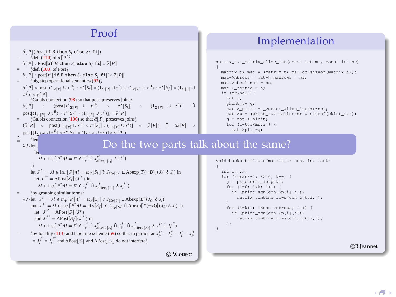#### Proof 5.4 Sincethecaseofthe **else** branch of the conditional is similar to (5.3), we can now



#### ( 母 )

c B.Jeannet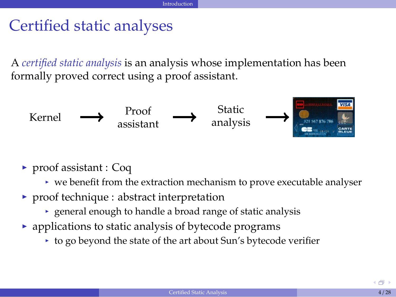#### Certified static analyses

A *certified static analysis* is an analysis whose implementation has been formally proved correct using a proof assistant.

$$
\begin{array}{ccc}\n\text{Kernel} & \longrightarrow & \text{Proof} \\
\text{assignment} & \longrightarrow & \text{Static} \\
\hline\n\end{array}
$$

- ► proof assistant : Coq
	- $\rightarrow$  we benefit from the extraction mechanism to prove executable analyser
- $\triangleright$  proof technique : abstract interpretation
	- $\rightarrow$  general enough to handle a broad range of static analysis
- $\rightarrow$  applications to static analysis of bytecode programs
	- $\rightarrow$  to go beyond the state of the art about Sun's bytecode verifier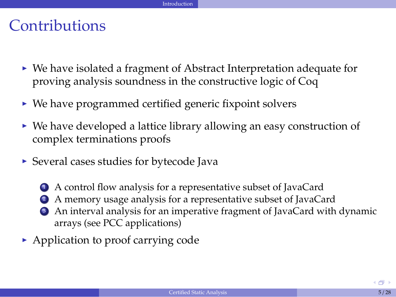#### **Contributions**

- $\triangleright$  We have isolated a fragment of Abstract Interpretation adequate for proving analysis soundness in the constructive logic of Coq
- $\triangleright$  We have programmed certified generic fixpoint solvers
- $\triangleright$  We have developed a lattice library allowing an easy construction of complex terminations proofs
- $\triangleright$  Several cases studies for bytecode Java
	- <sup>1</sup> A control flow analysis for a representative subset of JavaCard
	- 2 A memory usage analysis for a representative subset of JavaCard
	- <sup>3</sup> An interval analysis for an imperative fragment of JavaCard with dynamic arrays (see PCC applications)
- $\blacktriangleright$  Application to proof carrying code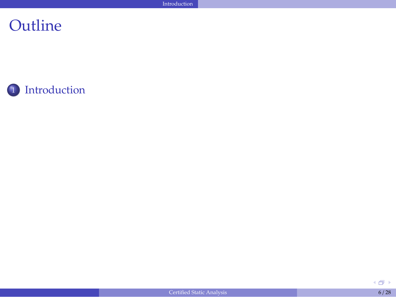<sup>1</sup> [Introduction](#page-1-0)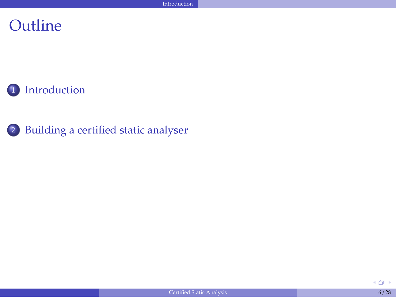

<sup>2</sup> [Building a certified static analyser](#page-13-0)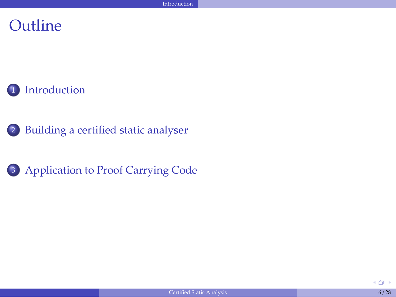

- <sup>2</sup> [Building a certified static analyser](#page-13-0)
- <sup>3</sup> [Application to Proof Carrying Code](#page-29-0)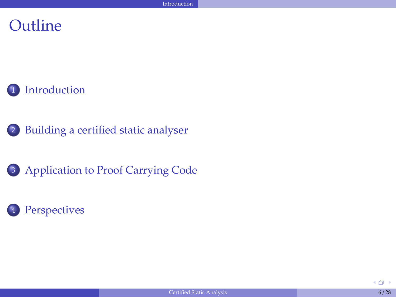

- <sup>2</sup> [Building a certified static analyser](#page-13-0)
- <sup>3</sup> [Application to Proof Carrying Code](#page-29-0)

#### **[Perspectives](#page-44-0)**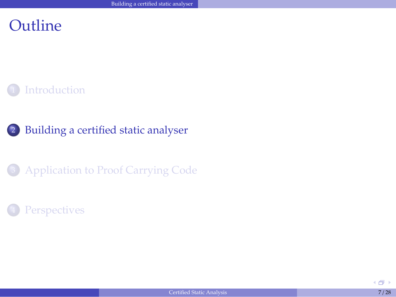

- <sup>2</sup> [Building a certified static analyser](#page-13-0)
- <sup>3</sup> [Application to Proof Carrying Code](#page-29-0)

#### <span id="page-13-0"></span>**[Perspectives](#page-44-0)**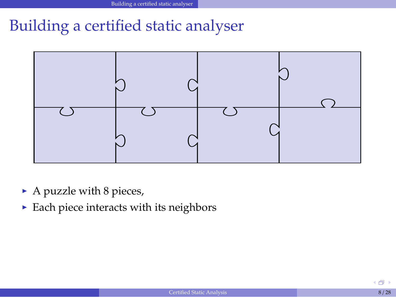

- $\blacktriangleright$  A puzzle with 8 pieces,
- $\blacktriangleright$  Each piece interacts with its neighbors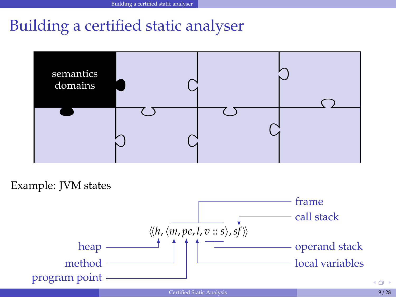

Example: JVM states

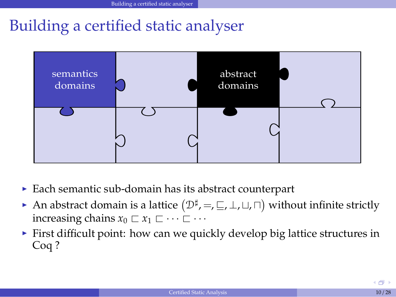

- $\triangleright$  Each semantic sub-domain has its abstract counterpart
- ► An abstract domain is a lattice  $(\mathcal{D}^{\sharp}, =, \sqsubseteq, \bot, \sqcup, \sqcap)$  without infinite strictly increasing chains  $x_0 \sqsubset x_1 \sqsubset \cdots \sqsubset \cdots$
- $\blacktriangleright$  First difficult point: how can we quickly develop big lattice structures in Coq ?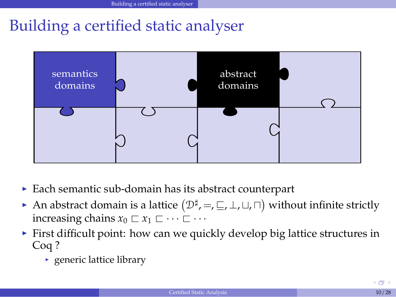

- $\triangleright$  Each semantic sub-domain has its abstract counterpart
- ► An abstract domain is a lattice  $(\mathcal{D}^{\sharp}, =, \sqsubseteq, \bot, \sqcup, \sqcap)$  without infinite strictly increasing chains  $x_0 \sqsubset x_1 \sqsubset \cdots \sqsubset \cdots$
- $\blacktriangleright$  First difficult point: how can we quickly develop big lattice structures in Coq ?
	- $\rightarrow$  generic lattice library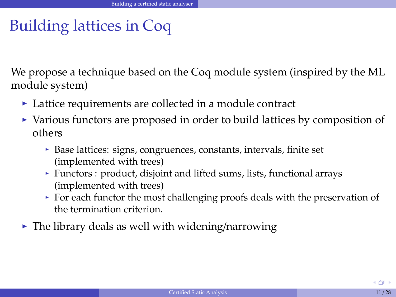# Building lattices in Coq

We propose a technique based on the Coq module system (inspired by the ML module system)

- $\triangleright$  Lattice requirements are collected in a module contract
- $\triangleright$  Various functors are proposed in order to build lattices by composition of others
	- $\triangleright$  Base lattices: signs, congruences, constants, intervals, finite set (implemented with trees)
	- $\triangleright$  Functors : product, disjoint and lifted sums, lists, functional arrays (implemented with trees)
	- $\triangleright$  For each functor the most challenging proofs deals with the preservation of the termination criterion.
- $\triangleright$  The library deals as well with widening/narrowing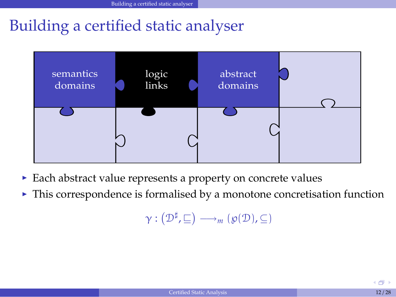

- $\triangleright$  Each abstract value represents a property on concrete values
- $\triangleright$  This correspondence is formalised by a monotone concretisation function

 $\gamma: \left( \mathfrak{D}^{\sharp}, \sqsubseteq \right) \longrightarrow_m \left( \wp(\mathfrak{D}), \subseteq \right)$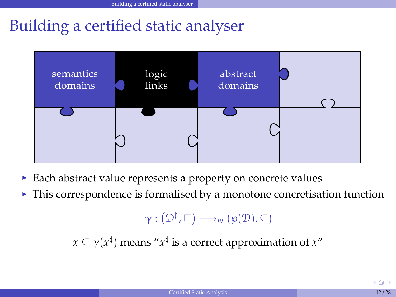

- $\triangleright$  Each abstract value represents a property on concrete values
- $\blacktriangleright$  This correspondence is formalised by a monotone concretisation function

 $\gamma: \left( \mathfrak{D}^{\sharp}, \sqsubseteq \right) \longrightarrow_m \left( \wp(\mathfrak{D}), \subseteq \right)$ 

 $x \subseteq \gamma(x^\sharp)$  means " $x^\sharp$  is a correct approximation of  $x$ "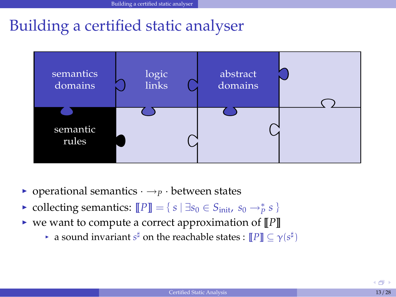

- **•** operational semantics  $\cdot \rightarrow_{P} \cdot$  between states
- ► collecting semantics:  $[$ *P* $]$ *I* = { *s* |  $\exists s_0 \in S_{\text{init}}, s_0 \rightarrow^*_{P} s$  }
- $\triangleright$  we want to compute a correct approximation of  $\llbracket P \rrbracket$ 
	- $\blacktriangleright$  a sound invariant  $s^{\sharp}$  on the reachable states :  $\llbracket P \rrbracket \subseteq \gamma(s^{\sharp})$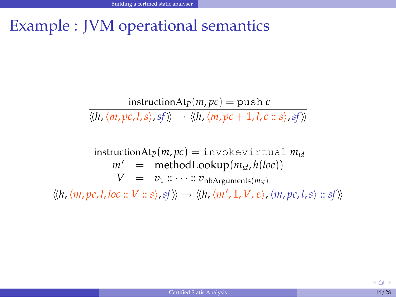#### Example : JVM operational semantics

$$
\frac{\text{instructionAt}_{P}(m, pc)}{\langle\langle h, \langle m, pc, l, s\rangle, sf\rangle\rangle \rightarrow \langle\langle h, \langle m, pc + 1, l, c::s\rangle, sf\rangle\rangle}
$$

$$
\begin{array}{rcl}\n\text{instructionAt}_{P}(m, pc) & = \text{invokerimal } m_{id} \\
m' & = \text{methodLookup}(m_{id}, h(loc)) \\
V & = v_1 \dots \dots \dots v_{\text{nbArguments}(m_{id})}\n\end{array}
$$

 $\langle h, \langle m, pc, l, loc :: V :: s \rangle, sf \rangle \rangle \rightarrow \langle h, \langle m', 1, V, \varepsilon \rangle, \langle m, pc, l, s \rangle :: sf \rangle \rangle$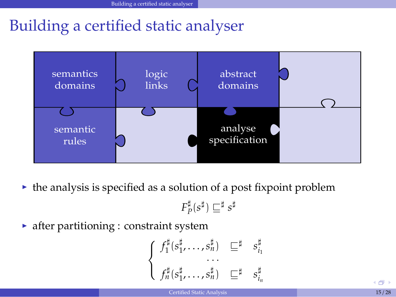

 $\triangleright$  the analysis is specified as a solution of a post fixpoint problem

$$
F_P^\sharp(s^\sharp) \sqsubseteq^\sharp s^\sharp
$$

 $\triangleright$  after partitioning : constraint system

$$
\left\{\begin{array}{c}f_1^{\sharp}(s_1^{\sharp},\ldots,s_n^{\sharp})\subseteq^{\sharp}\quad s_{i_1}^{\sharp}\\ \ldots\\ f_n^{\sharp}(s_1^{\sharp},\ldots,s_n^{\sharp})\subseteq^{\sharp}\quad s_{i_n}^{\sharp}\end{array}\right.
$$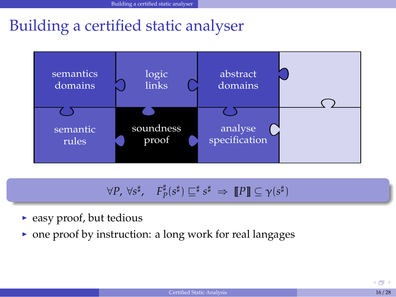

$$
\forall P, \ \forall s^{\sharp}, \quad F_P^{\sharp}(s^{\sharp}) \sqsubseteq^{\sharp} s^{\sharp} \ \Rightarrow \ \llbracket P \rrbracket \subseteq \gamma(s^{\sharp})
$$

- $\blacktriangleright$  easy proof, but tedious
- $\triangleright$  one proof by instruction: a long work for real langages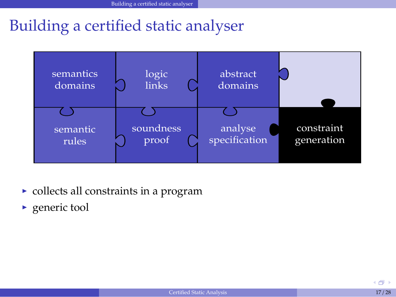

- $\triangleright$  collects all constraints in a program
- $\blacktriangleright$  generic tool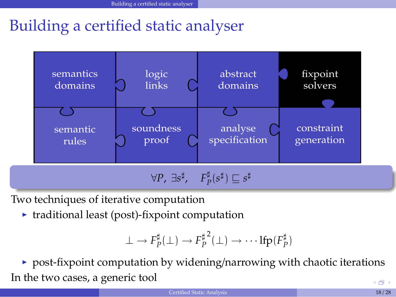

Two techniques of iterative computation

 $\triangleright$  traditional least (post)-fixpoint computation

$$
\perp \ldots F_p^{\sharp}(\perp) \to F_p^{\sharp^2}(\perp) \to \cdots \text{Ifp}(F_p^{\sharp})
$$

 $\triangleright$  post-fixpoint computation by widening/narrowing with chaotic iterations In the two cases, a generic tool  $+5$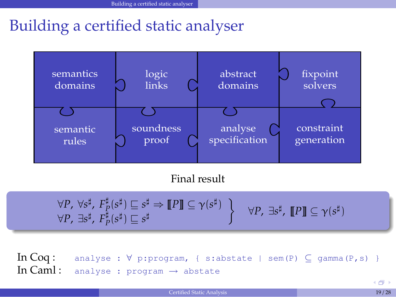

#### Final result

| $\forall P, \forall s^{\sharp}, F^{\sharp}_{P}(s^{\sharp}) \sqsubseteq s^{\sharp} \Rightarrow \llbracket P \rrbracket \subseteq \gamma(s^{\sharp})$<br>$\forall P, \exists s^{\sharp}, \llbracket P \rrbracket \subseteq \gamma(s^{\sharp})$<br>$\forall P, \exists s^{\sharp}, \llbracket P \rrbracket \subseteq \gamma(s^{\sharp})$ |  |
|---------------------------------------------------------------------------------------------------------------------------------------------------------------------------------------------------------------------------------------------------------------------------------------------------------------------------------------|--|
|---------------------------------------------------------------------------------------------------------------------------------------------------------------------------------------------------------------------------------------------------------------------------------------------------------------------------------------|--|

In Coq: analyse :  $\forall$  p:program, { s:abstate | sem(P)  $\subseteq$  gamma(P,s) } In Caml: analyse : program  $\rightarrow$  abstate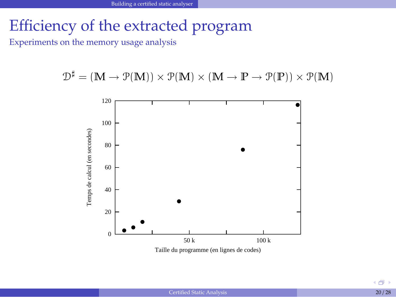### Efficiency of the extracted program

Experiments on the memory usage analysis

200

$$
\mathfrak{D}^{\sharp} = ( \mathbb{M} \to \mathfrak{P}(\mathbb{M}) ) \times \mathfrak{P}(\mathbb{M}) \times ( \mathbb{M} \to \mathbb{P} \to \mathfrak{P}(\mathbb{P}) ) \times \mathfrak{P}(\mathbb{M})
$$



Taille du programme (en lignes de codes)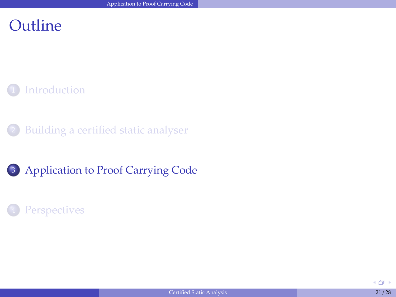

- <sup>2</sup> [Building a certified static analyser](#page-13-0)
- <sup>3</sup> [Application to Proof Carrying Code](#page-29-0)

#### <span id="page-29-0"></span>**[Perspectives](#page-44-0)**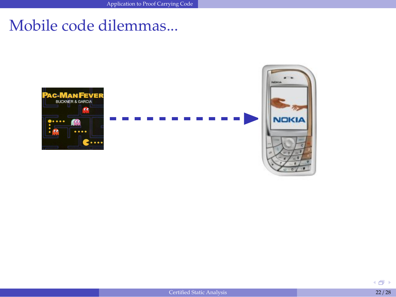#### Mobile code dilemmas...

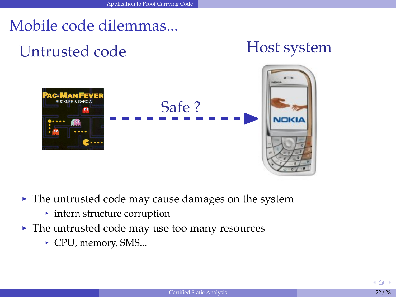# Mobile code dilemmas...

# Untrusted code Host system



- $\blacktriangleright$  The untrusted code may cause damages on the system
	- $\cdot$  intern structure corruption
- $\blacktriangleright$  The untrusted code may use too many resources
	- ▶ CPU, memory, SMS...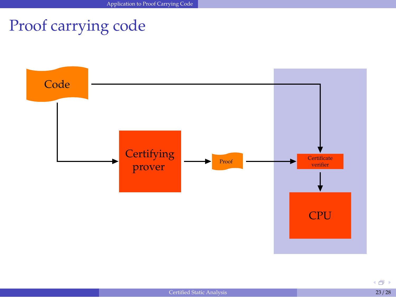# Proof carrying code

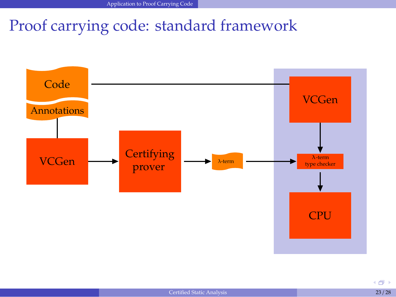### Proof carrying code: standard framework

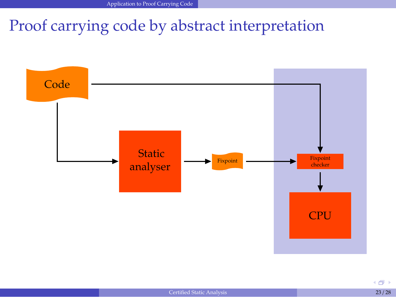# Proof carrying code by abstract interpretation

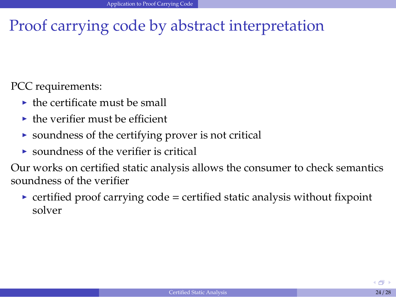# Proof carrying code by abstract interpretation

PCC requirements:

- $\blacktriangleright$  the certificate must be small
- $\blacktriangleright$  the verifier must be efficient
- $\triangleright$  soundness of the certifying prover is not critical
- $\triangleright$  soundness of the verifier is critical

Our works on certified static analysis allows the consumer to check semantics soundness of the verifier

 $\triangleright$  certified proof carrying code = certified static analysis without fixpoint solver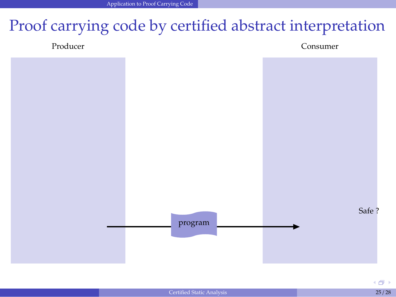# Proof carrying code by certified abstract interpretation

Producer

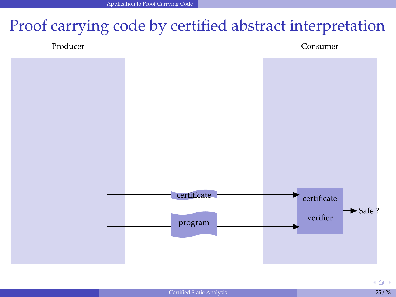## Proof carrying code by certified abstract interpretation

Producer

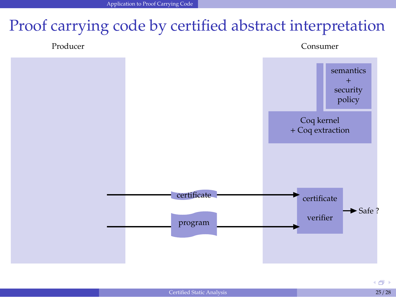## Proof carrying code by certified abstract interpretation

Producer

Consumer



 $\overline{P}$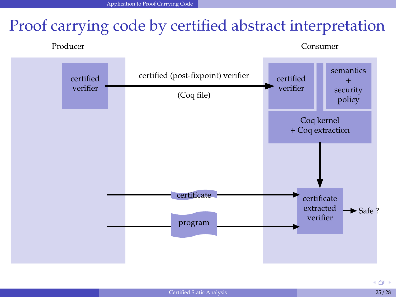# Proof carrying code by certified abstract interpretation



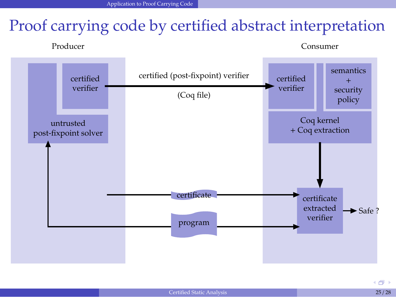## Proof carrying code by certified abstract interpretation

Producer

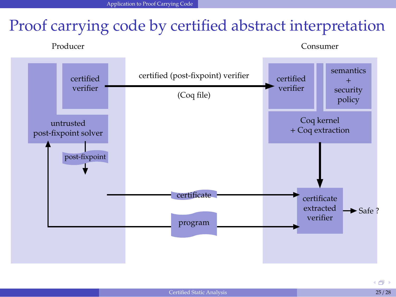## Proof carrying code by certified abstract interpretation

Producer

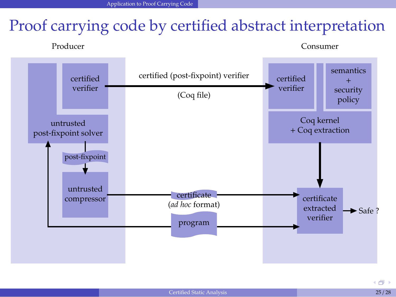# Proof carrying code by certified abstract interpretation

Producer

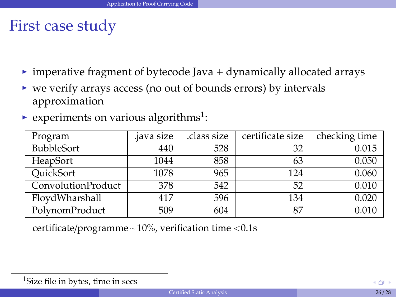#### First case study

- $\triangleright$  imperative fragment of bytecode Java + dynamically allocated arrays
- $\triangleright$  we verify arrays access (no out of bounds errors) by intervals approximation
- experiments on various algorithms<sup>1</sup>:

| Program            | java size. | class size. | certificate size | checking time |
|--------------------|------------|-------------|------------------|---------------|
| <b>BubbleSort</b>  | 440        | 528         | 32               | 0.015         |
| HeapSort           | 1044       | 858         | 63               | 0.050         |
| <b>OuickSort</b>   | 1078       | 965         | 124              | 0.060         |
| ConvolutionProduct | 378        | 542         | 52               | 0.010         |
| FloydWharshall     | 417        | 596         | 134              | 0.020         |
| PolynomProduct     | 509        | 604         | 87               | 0.010         |

certificate/programme ∼ 10%, verification time <0.1s

<sup>&</sup>lt;sup>1</sup>Size file in bytes, time in secs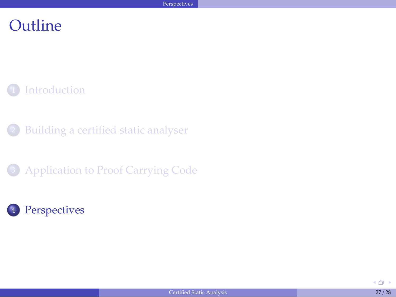

- <sup>2</sup> [Building a certified static analyser](#page-13-0)
- <sup>3</sup> [Application to Proof Carrying Code](#page-29-0)

<span id="page-44-0"></span>